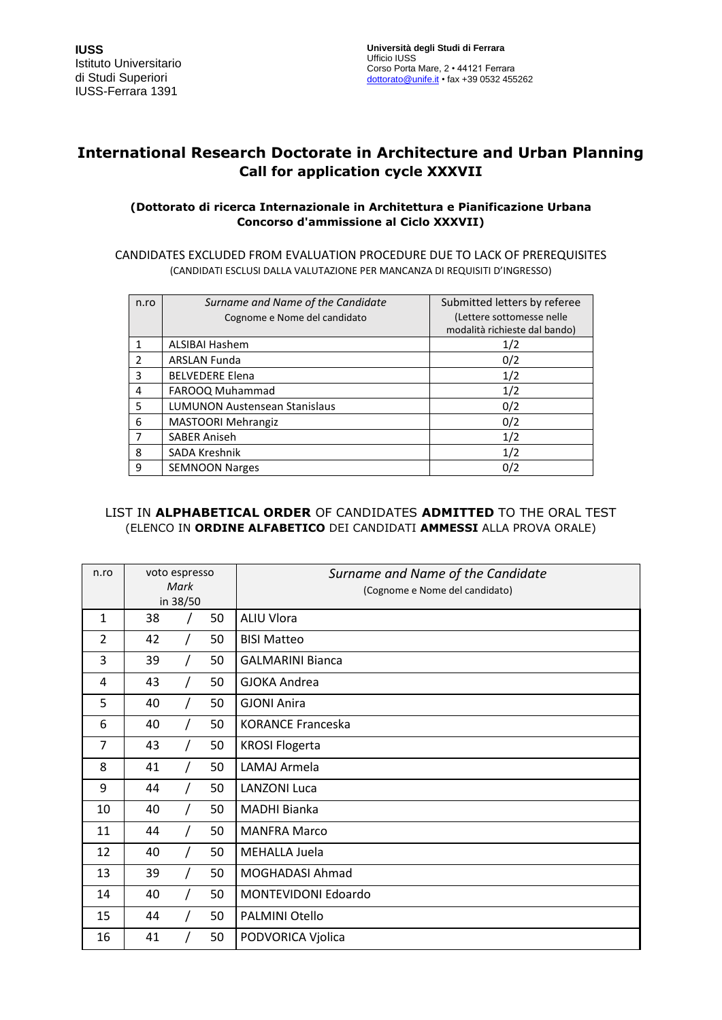# **International Research Doctorate in Architecture and Urban Planning Call for application cycle XXXVII**

### **(Dottorato di ricerca Internazionale in Architettura e Pianificazione Urbana Concorso d'ammissione al Ciclo XXXVII)**

CANDIDATES EXCLUDED FROM EVALUATION PROCEDURE DUE TO LACK OF PREREQUISITES (CANDIDATI ESCLUSI DALLA VALUTAZIONE PER MANCANZA DI REQUISITI D'INGRESSO)

| n.ro          | Surname and Name of the Candidate<br>Cognome e Nome del candidato | Submitted letters by referee<br>(Lettere sottomesse nelle<br>modalità richieste dal bando) |
|---------------|-------------------------------------------------------------------|--------------------------------------------------------------------------------------------|
|               | <b>ALSIBAI Hashem</b>                                             | 1/2                                                                                        |
| $\mathcal{P}$ | <b>ARSLAN Funda</b>                                               | 0/2                                                                                        |
| 3             | <b>BELVEDERE Elena</b>                                            | 1/2                                                                                        |
| 4             | FAROOQ Muhammad                                                   | 1/2                                                                                        |
| 5             | <b>LUMUNON Austensean Stanislaus</b>                              | 0/2                                                                                        |
| 6             | <b>MASTOORI Mehrangiz</b>                                         | 0/2                                                                                        |
| 7             | <b>SABER Aniseh</b>                                               | 1/2                                                                                        |
| 8             | SADA Kreshnik                                                     | 1/2                                                                                        |
| 9             | <b>SEMNOON Narges</b>                                             | 0/2                                                                                        |

## LIST IN **ALPHABETICAL ORDER** OF CANDIDATES **ADMITTED** TO THE ORAL TEST (ELENCO IN **ORDINE ALFABETICO** DEI CANDIDATI **AMMESSI** ALLA PROVA ORALE)

| n.ro           | voto espresso<br>Mark |  |    | Surname and Name of the Candidate |
|----------------|-----------------------|--|----|-----------------------------------|
|                | in 38/50              |  |    | (Cognome e Nome del candidato)    |
| $\mathbf{1}$   | 38                    |  | 50 | <b>ALIU Vlora</b>                 |
| $\overline{2}$ | 42                    |  | 50 | <b>BISI Matteo</b>                |
| 3              | 39                    |  | 50 | <b>GALMARINI Bianca</b>           |
| 4              | 43                    |  | 50 | <b>GJOKA Andrea</b>               |
| 5              | 40                    |  | 50 | <b>GJONI Anira</b>                |
| 6              | 40                    |  | 50 | <b>KORANCE Franceska</b>          |
| $\overline{7}$ | 43                    |  | 50 | <b>KROSI Flogerta</b>             |
| 8              | 41                    |  | 50 | <b>LAMAJ Armela</b>               |
| 9              | 44                    |  | 50 | <b>LANZONI Luca</b>               |
| 10             | 40                    |  | 50 | MADHI Bianka                      |
| 11             | 44                    |  | 50 | <b>MANFRA Marco</b>               |
| 12             | 40                    |  | 50 | <b>MEHALLA Juela</b>              |
| 13             | 39                    |  | 50 | MOGHADASI Ahmad                   |
| 14             | 40                    |  | 50 | MONTEVIDONI Edoardo               |
| 15             | 44                    |  | 50 | <b>PALMINI Otello</b>             |
| 16             | 41                    |  | 50 | PODVORICA Vjolica                 |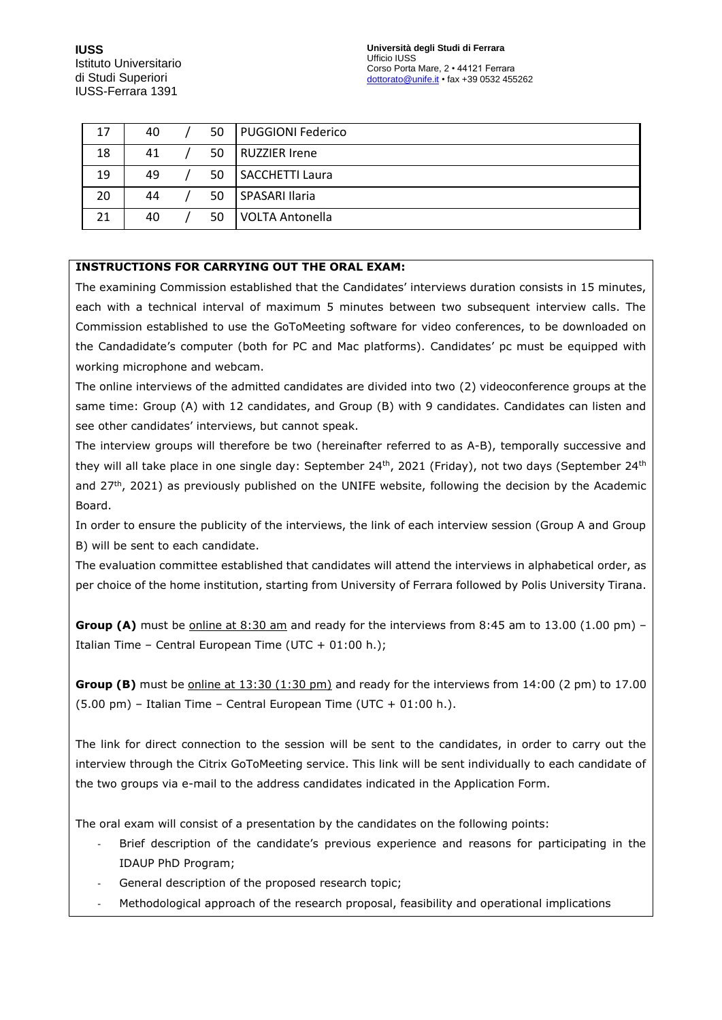| 17 | 40 | 50 | <b>PUGGIONI Federico</b> |
|----|----|----|--------------------------|
| 18 | 41 | 50 | RUZZIER Irene            |
| 19 | 49 | 50 | SACCHETTI Laura          |
| 20 | 44 | 50 | SPASARI Ilaria           |
| 21 | 40 | 50 | <b>VOLTA Antonella</b>   |

### **INSTRUCTIONS FOR CARRYING OUT THE ORAL EXAM:**

The examining Commission established that the Candidates' interviews duration consists in 15 minutes, each with a technical interval of maximum 5 minutes between two subsequent interview calls. The Commission established to use the GoToMeeting software for video conferences, to be downloaded on the Candadidate's computer (both for PC and Mac platforms). Candidates' pc must be equipped with working microphone and webcam.

The online interviews of the admitted candidates are divided into two (2) videoconference groups at the same time: Group (A) with 12 candidates, and Group (B) with 9 candidates. Candidates can listen and see other candidates' interviews, but cannot speak.

The interview groups will therefore be two (hereinafter referred to as A-B), temporally successive and they will all take place in one single day: September 24<sup>th</sup>, 2021 (Friday), not two days (September 24<sup>th</sup> and  $27<sup>th</sup>$ , 2021) as previously published on the UNIFE website, following the decision by the Academic Board.

In order to ensure the publicity of the interviews, the link of each interview session (Group A and Group B) will be sent to each candidate.

The evaluation committee established that candidates will attend the interviews in alphabetical order, as per choice of the home institution, starting from University of Ferrara followed by Polis University Tirana.

**Group (A)** must be online at 8:30 am and ready for the interviews from 8:45 am to 13.00 (1.00 pm) -Italian Time – Central European Time (UTC + 01:00 h.);

**Group (B)** must be online at 13:30 (1:30 pm) and ready for the interviews from 14:00 (2 pm) to 17.00 (5.00 pm) – Italian Time – Central European Time (UTC + 01:00 h.).

The link for direct connection to the session will be sent to the candidates, in order to carry out the interview through the Citrix GoToMeeting service. This link will be sent individually to each candidate of the two groups via e-mail to the address candidates indicated in the Application Form.

The oral exam will consist of a presentation by the candidates on the following points:

- Brief description of the candidate's previous experience and reasons for participating in the IDAUP PhD Program;
- General description of the proposed research topic;
- Methodological approach of the research proposal, feasibility and operational implications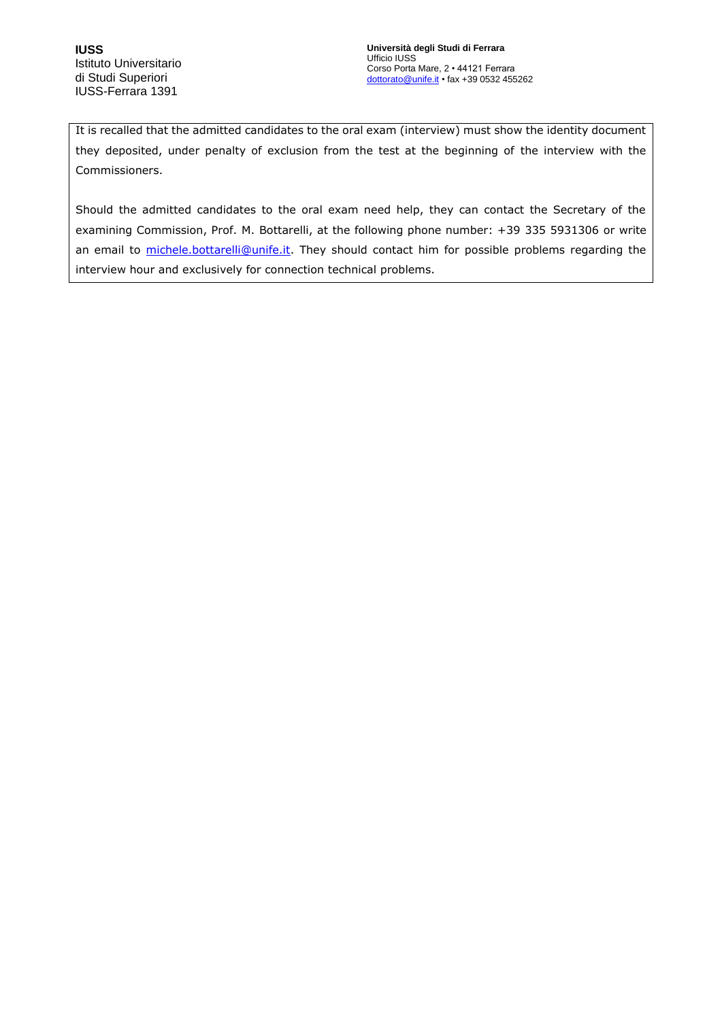It is recalled that the admitted candidates to the oral exam (interview) must show the identity document they deposited, under penalty of exclusion from the test at the beginning of the interview with the Commissioners.

Should the admitted candidates to the oral exam need help, they can contact the Secretary of the examining Commission, Prof. M. Bottarelli, at the following phone number: +39 335 5931306 or write an email to [michele.bottarelli@unife.it.](mailto:michele.bottarelli@unife.it) They should contact him for possible problems regarding the interview hour and exclusively for connection technical problems.